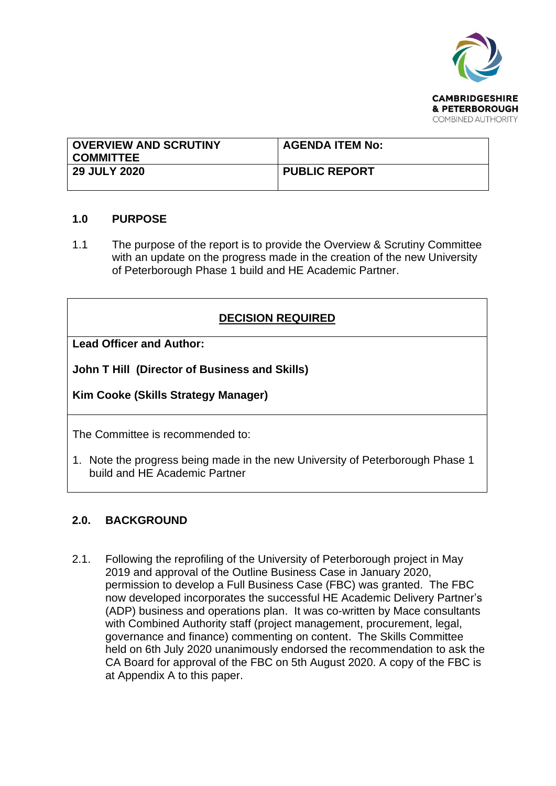

| <b>OVERVIEW AND SCRUTINY</b><br><b>COMMITTEE</b> | <b>AGENDA ITEM No:</b> |
|--------------------------------------------------|------------------------|
| <b>29 JULY 2020</b>                              | <b>PUBLIC REPORT</b>   |

### **1.0 PURPOSE**

1.1 The purpose of the report is to provide the Overview & Scrutiny Committee with an update on the progress made in the creation of the new University of Peterborough Phase 1 build and HE Academic Partner.

### **DECISION REQUIRED**

**Lead Officer and Author:** 

**John T Hill (Director of Business and Skills)** 

**Kim Cooke (Skills Strategy Manager)** 

The Committee is recommended to:

1. Note the progress being made in the new University of Peterborough Phase 1 build and HE Academic Partner

### **2.0. BACKGROUND**

2.1. Following the reprofiling of the University of Peterborough project in May 2019 and approval of the Outline Business Case in January 2020, permission to develop a Full Business Case (FBC) was granted. The FBC now developed incorporates the successful HE Academic Delivery Partner's (ADP) business and operations plan. It was co-written by Mace consultants with Combined Authority staff (project management, procurement, legal, governance and finance) commenting on content. The Skills Committee held on 6th July 2020 unanimously endorsed the recommendation to ask the CA Board for approval of the FBC on 5th August 2020. A copy of the FBC is at Appendix A to this paper.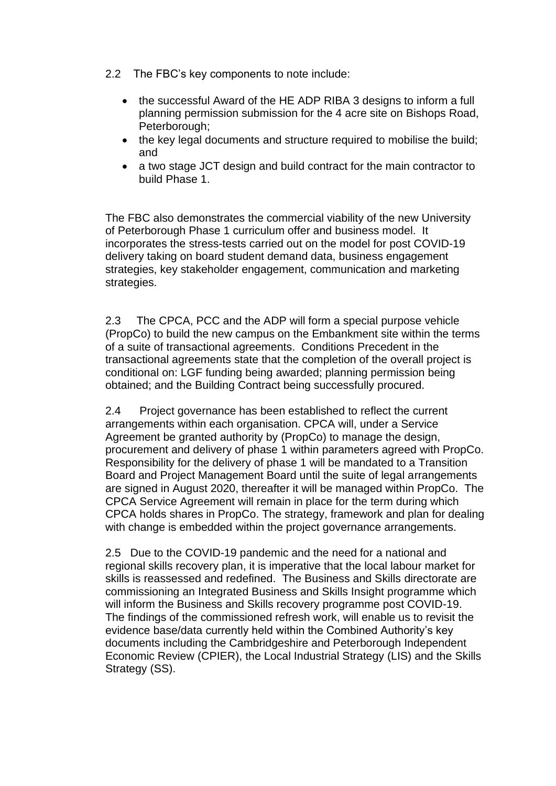- 2.2 The FBC's key components to note include:
	- the successful Award of the HE ADP RIBA 3 designs to inform a full planning permission submission for the 4 acre site on Bishops Road, Peterborough;
	- the key legal documents and structure required to mobilise the build; and
	- a two stage JCT design and build contract for the main contractor to build Phase 1.

The FBC also demonstrates the commercial viability of the new University of Peterborough Phase 1 curriculum offer and business model. It incorporates the stress-tests carried out on the model for post COVID-19 delivery taking on board student demand data, business engagement strategies, key stakeholder engagement, communication and marketing strategies.

2.3 The CPCA, PCC and the ADP will form a special purpose vehicle (PropCo) to build the new campus on the Embankment site within the terms of a suite of transactional agreements. Conditions Precedent in the transactional agreements state that the completion of the overall project is conditional on: LGF funding being awarded; planning permission being obtained; and the Building Contract being successfully procured.

2.4 Project governance has been established to reflect the current arrangements within each organisation. CPCA will, under a Service Agreement be granted authority by (PropCo) to manage the design, procurement and delivery of phase 1 within parameters agreed with PropCo. Responsibility for the delivery of phase 1 will be mandated to a Transition Board and Project Management Board until the suite of legal arrangements are signed in August 2020, thereafter it will be managed within PropCo. The CPCA Service Agreement will remain in place for the term during which CPCA holds shares in PropCo. The strategy, framework and plan for dealing with change is embedded within the project governance arrangements.

2.5 Due to the COVID-19 pandemic and the need for a national and regional skills recovery plan, it is imperative that the local labour market for skills is reassessed and redefined. The Business and Skills directorate are commissioning an Integrated Business and Skills Insight programme which will inform the Business and Skills recovery programme post COVID-19. The findings of the commissioned refresh work, will enable us to revisit the evidence base/data currently held within the Combined Authority's key documents including the Cambridgeshire and Peterborough Independent Economic Review (CPIER), the Local Industrial Strategy (LIS) and the Skills Strategy (SS).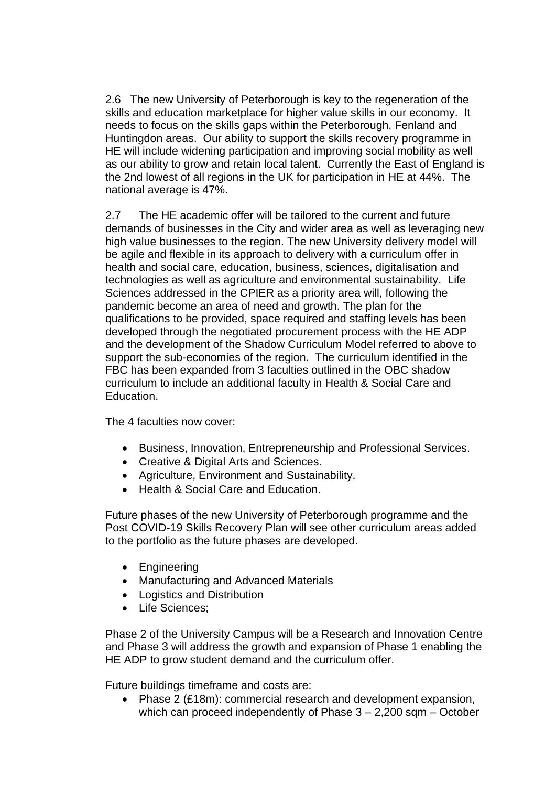2.6 The new University of Peterborough is key to the regeneration of the skills and education marketplace for higher value skills in our economy. It needs to focus on the skills gaps within the Peterborough, Fenland and Huntingdon areas. Our ability to support the skills recovery programme in HE will include widening participation and improving social mobility as well as our ability to grow and retain local talent. Currently the East of England is the 2nd lowest of all regions in the UK for participation in HE at 44%. The national average is 47%.

2.7 The HE academic offer will be tailored to the current and future demands of businesses in the City and wider area as well as leveraging new high value businesses to the region. The new University delivery model will be agile and flexible in its approach to delivery with a curriculum offer in health and social care, education, business, sciences, digitalisation and technologies as well as agriculture and environmental sustainability. Life Sciences addressed in the CPIER as a priority area will, following the pandemic become an area of need and growth. The plan for the qualifications to be provided, space required and staffing levels has been developed through the negotiated procurement process with the HE ADP and the development of the Shadow Curriculum Model referred to above to support the sub-economies of the region. The curriculum identified in the FBC has been expanded from 3 faculties outlined in the OBC shadow curriculum to include an additional faculty in Health & Social Care and Education.

The 4 faculties now cover:

- Business, Innovation, Entrepreneurship and Professional Services.
- Creative & Digital Arts and Sciences.
- Agriculture, Environment and Sustainability.
- Health & Social Care and Education.

Future phases of the new University of Peterborough programme and the Post COVID-19 Skills Recovery Plan will see other curriculum areas added to the portfolio as the future phases are developed.

- Engineering
- Manufacturing and Advanced Materials
- Logistics and Distribution
- Life Sciences;

Phase 2 of the University Campus will be a Research and Innovation Centre and Phase 3 will address the growth and expansion of Phase 1 enabling the HE ADP to grow student demand and the curriculum offer.

Future buildings timeframe and costs are:

• Phase 2 (£18m): commercial research and development expansion, which can proceed independently of Phase  $3 - 2,200$  sqm – October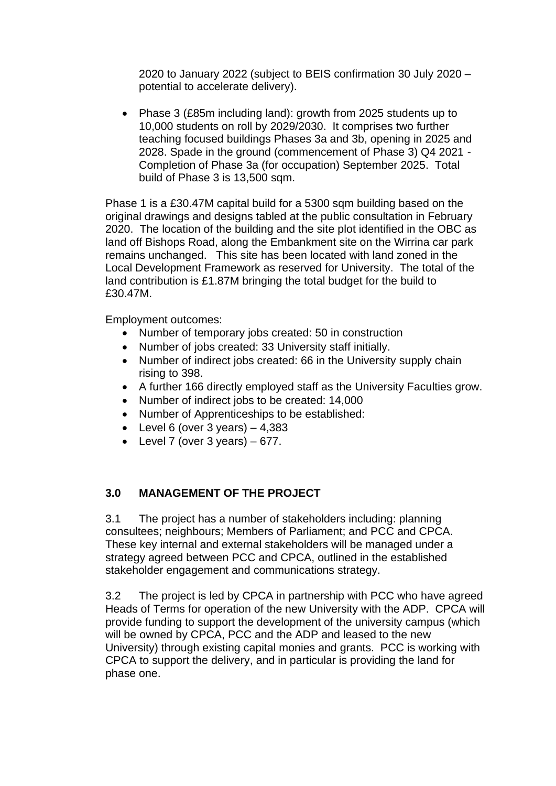2020 to January 2022 (subject to BEIS confirmation 30 July 2020 – potential to accelerate delivery).

• Phase 3 (£85m including land): growth from 2025 students up to 10,000 students on roll by 2029/2030. It comprises two further teaching focused buildings Phases 3a and 3b, opening in 2025 and 2028. Spade in the ground (commencement of Phase 3) Q4 2021 - Completion of Phase 3a (for occupation) September 2025. Total build of Phase 3 is 13,500 sqm.

Phase 1 is a £30.47M capital build for a 5300 sqm building based on the original drawings and designs tabled at the public consultation in February 2020. The location of the building and the site plot identified in the OBC as land off Bishops Road, along the Embankment site on the Wirrina car park remains unchanged. This site has been located with land zoned in the Local Development Framework as reserved for University. The total of the land contribution is £1.87M bringing the total budget for the build to £30.47M.

Employment outcomes:

- Number of temporary jobs created: 50 in construction
- Number of jobs created: 33 University staff initially.
- Number of indirect jobs created: 66 in the University supply chain rising to 398.
- A further 166 directly employed staff as the University Faculties grow.
- Number of indirect jobs to be created: 14,000
- Number of Apprenticeships to be established:
- Level 6 (over 3 years)  $-4,383$
- Level 7 (over 3 years)  $-677$ .

## **3.0 MANAGEMENT OF THE PROJECT**

3.1 The project has a number of stakeholders including: planning consultees; neighbours; Members of Parliament; and PCC and CPCA. These key internal and external stakeholders will be managed under a strategy agreed between PCC and CPCA, outlined in the established stakeholder engagement and communications strategy.

3.2 The project is led by CPCA in partnership with PCC who have agreed Heads of Terms for operation of the new University with the ADP. CPCA will provide funding to support the development of the university campus (which will be owned by CPCA, PCC and the ADP and leased to the new University) through existing capital monies and grants. PCC is working with CPCA to support the delivery, and in particular is providing the land for phase one.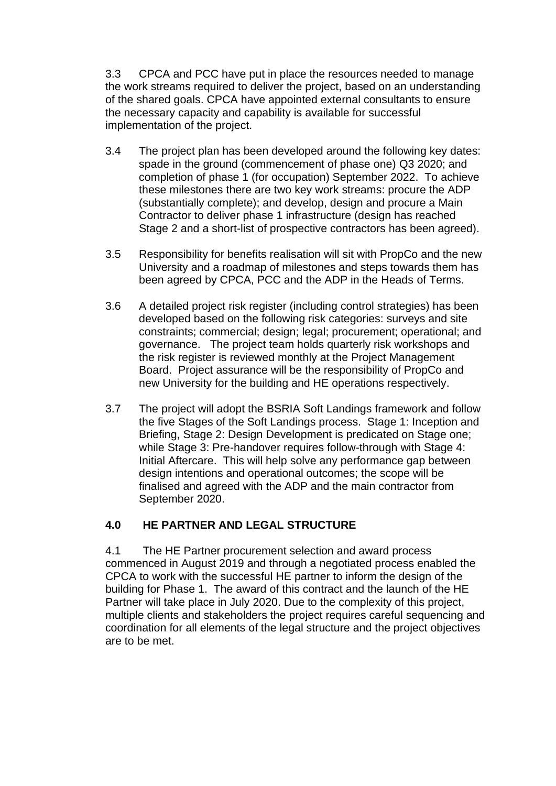3.3 CPCA and PCC have put in place the resources needed to manage the work streams required to deliver the project, based on an understanding of the shared goals. CPCA have appointed external consultants to ensure the necessary capacity and capability is available for successful implementation of the project.

- 3.4 The project plan has been developed around the following key dates: spade in the ground (commencement of phase one) Q3 2020; and completion of phase 1 (for occupation) September 2022. To achieve these milestones there are two key work streams: procure the ADP (substantially complete); and develop, design and procure a Main Contractor to deliver phase 1 infrastructure (design has reached Stage 2 and a short-list of prospective contractors has been agreed).
- 3.5 Responsibility for benefits realisation will sit with PropCo and the new University and a roadmap of milestones and steps towards them has been agreed by CPCA, PCC and the ADP in the Heads of Terms.
- 3.6 A detailed project risk register (including control strategies) has been developed based on the following risk categories: surveys and site constraints; commercial; design; legal; procurement; operational; and governance. The project team holds quarterly risk workshops and the risk register is reviewed monthly at the Project Management Board. Project assurance will be the responsibility of PropCo and new University for the building and HE operations respectively.
- 3.7 The project will adopt the BSRIA Soft Landings framework and follow the five Stages of the Soft Landings process. Stage 1: Inception and Briefing, Stage 2: Design Development is predicated on Stage one; while Stage 3: Pre-handover requires follow-through with Stage 4: Initial Aftercare. This will help solve any performance gap between design intentions and operational outcomes; the scope will be finalised and agreed with the ADP and the main contractor from September 2020.

## **4.0 HE PARTNER AND LEGAL STRUCTURE**

4.1 The HE Partner procurement selection and award process commenced in August 2019 and through a negotiated process enabled the CPCA to work with the successful HE partner to inform the design of the building for Phase 1. The award of this contract and the launch of the HE Partner will take place in July 2020. Due to the complexity of this project, multiple clients and stakeholders the project requires careful sequencing and coordination for all elements of the legal structure and the project objectives are to be met.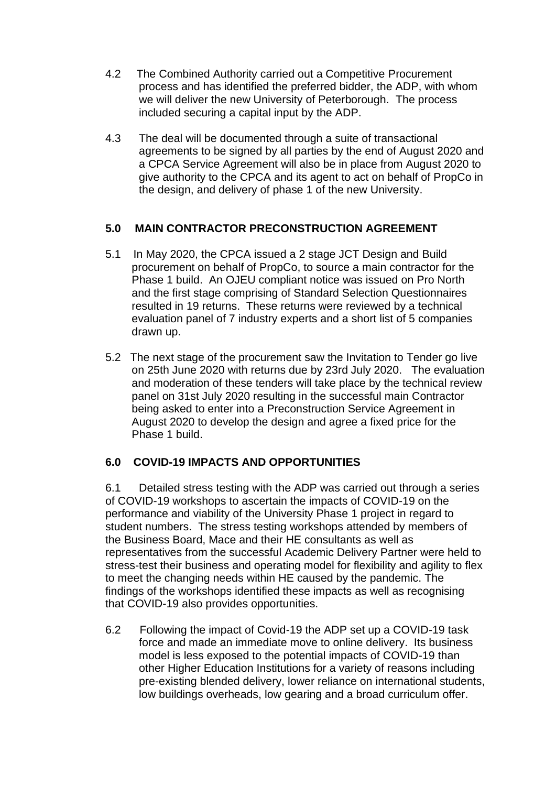- 4.2 The Combined Authority carried out a Competitive Procurement process and has identified the preferred bidder, the ADP, with whom we will deliver the new University of Peterborough. The process included securing a capital input by the ADP.
- 4.3 The deal will be documented through a suite of transactional agreements to be signed by all parties by the end of August 2020 and a CPCA Service Agreement will also be in place from August 2020 to give authority to the CPCA and its agent to act on behalf of PropCo in the design, and delivery of phase 1 of the new University.

## **5.0 MAIN CONTRACTOR PRECONSTRUCTION AGREEMENT**

- 5.1 In May 2020, the CPCA issued a 2 stage JCT Design and Build procurement on behalf of PropCo, to source a main contractor for the Phase 1 build. An OJEU compliant notice was issued on Pro North and the first stage comprising of Standard Selection Questionnaires resulted in 19 returns. These returns were reviewed by a technical evaluation panel of 7 industry experts and a short list of 5 companies drawn up.
- 5.2 The next stage of the procurement saw the Invitation to Tender go live on 25th June 2020 with returns due by 23rd July 2020. The evaluation and moderation of these tenders will take place by the technical review panel on 31st July 2020 resulting in the successful main Contractor being asked to enter into a Preconstruction Service Agreement in August 2020 to develop the design and agree a fixed price for the Phase 1 build.

## **6.0 COVID-19 IMPACTS AND OPPORTUNITIES**

6.1 Detailed stress testing with the ADP was carried out through a series of COVID-19 workshops to ascertain the impacts of COVID-19 on the performance and viability of the University Phase 1 project in regard to student numbers. The stress testing workshops attended by members of the Business Board, Mace and their HE consultants as well as representatives from the successful Academic Delivery Partner were held to stress-test their business and operating model for flexibility and agility to flex to meet the changing needs within HE caused by the pandemic. The findings of the workshops identified these impacts as well as recognising that COVID-19 also provides opportunities.

6.2 Following the impact of Covid-19 the ADP set up a COVID-19 task force and made an immediate move to online delivery. Its business model is less exposed to the potential impacts of COVID-19 than other Higher Education Institutions for a variety of reasons including pre-existing blended delivery, lower reliance on international students, low buildings overheads, low gearing and a broad curriculum offer.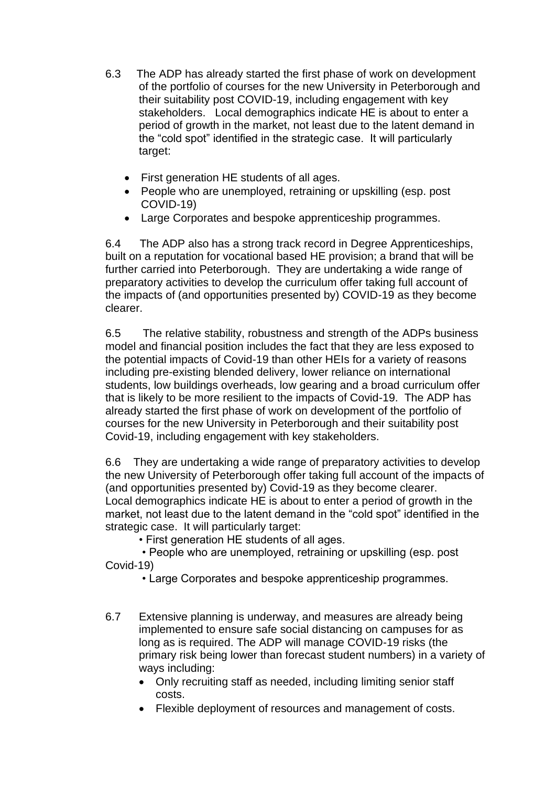- 6.3 The ADP has already started the first phase of work on development of the portfolio of courses for the new University in Peterborough and their suitability post COVID-19, including engagement with key stakeholders. Local demographics indicate HE is about to enter a period of growth in the market, not least due to the latent demand in the "cold spot" identified in the strategic case. It will particularly target:
	- First generation HE students of all ages.
	- People who are unemployed, retraining or upskilling (esp. post COVID-19)
	- Large Corporates and bespoke apprenticeship programmes.

6.4 The ADP also has a strong track record in Degree Apprenticeships, built on a reputation for vocational based HE provision; a brand that will be further carried into Peterborough. They are undertaking a wide range of preparatory activities to develop the curriculum offer taking full account of the impacts of (and opportunities presented by) COVID-19 as they become clearer.

6.5 The relative stability, robustness and strength of the ADPs business model and financial position includes the fact that they are less exposed to the potential impacts of Covid-19 than other HEIs for a variety of reasons including pre-existing blended delivery, lower reliance on international students, low buildings overheads, low gearing and a broad curriculum offer that is likely to be more resilient to the impacts of Covid-19. The ADP has already started the first phase of work on development of the portfolio of courses for the new University in Peterborough and their suitability post Covid-19, including engagement with key stakeholders.

6.6 They are undertaking a wide range of preparatory activities to develop the new University of Peterborough offer taking full account of the impacts of (and opportunities presented by) Covid-19 as they become clearer. Local demographics indicate HE is about to enter a period of growth in the market, not least due to the latent demand in the "cold spot" identified in the strategic case. It will particularly target:

• First generation HE students of all ages.

• People who are unemployed, retraining or upskilling (esp. post Covid-19)

• Large Corporates and bespoke apprenticeship programmes.

- 6.7 Extensive planning is underway, and measures are already being implemented to ensure safe social distancing on campuses for as long as is required. The ADP will manage COVID-19 risks (the primary risk being lower than forecast student numbers) in a variety of ways including:
	- Only recruiting staff as needed, including limiting senior staff costs.
	- Flexible deployment of resources and management of costs.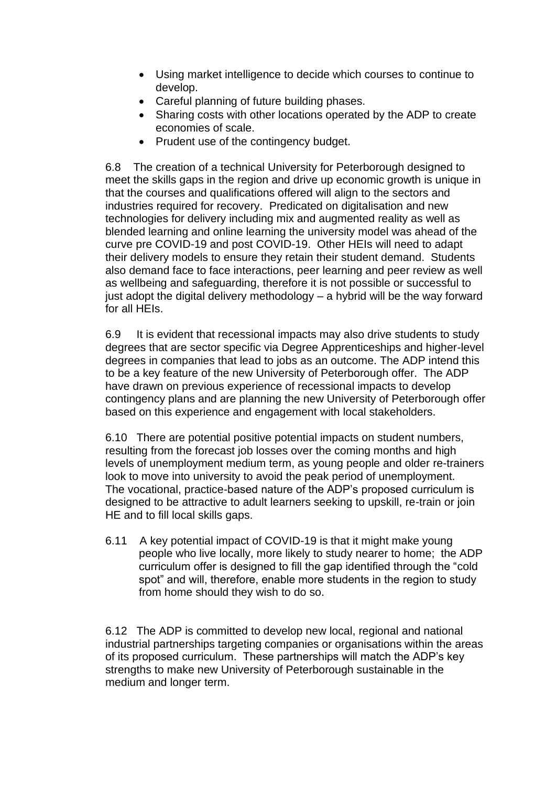- Using market intelligence to decide which courses to continue to develop.
- Careful planning of future building phases.
- Sharing costs with other locations operated by the ADP to create economies of scale.
- Prudent use of the contingency budget.

6.8 The creation of a technical University for Peterborough designed to meet the skills gaps in the region and drive up economic growth is unique in that the courses and qualifications offered will align to the sectors and industries required for recovery. Predicated on digitalisation and new technologies for delivery including mix and augmented reality as well as blended learning and online learning the university model was ahead of the curve pre COVID-19 and post COVID-19. Other HEIs will need to adapt their delivery models to ensure they retain their student demand. Students also demand face to face interactions, peer learning and peer review as well as wellbeing and safeguarding, therefore it is not possible or successful to just adopt the digital delivery methodology  $-$  a hybrid will be the way forward for all HEIs.

6.9 It is evident that recessional impacts may also drive students to study degrees that are sector specific via Degree Apprenticeships and higher-level degrees in companies that lead to jobs as an outcome. The ADP intend this to be a key feature of the new University of Peterborough offer. The ADP have drawn on previous experience of recessional impacts to develop contingency plans and are planning the new University of Peterborough offer based on this experience and engagement with local stakeholders.

6.10 There are potential positive potential impacts on student numbers, resulting from the forecast job losses over the coming months and high levels of unemployment medium term, as young people and older re-trainers look to move into university to avoid the peak period of unemployment. The vocational, practice-based nature of the ADP's proposed curriculum is designed to be attractive to adult learners seeking to upskill, re-train or join HE and to fill local skills gaps.

6.11 A key potential impact of COVID-19 is that it might make young people who live locally, more likely to study nearer to home; the ADP curriculum offer is designed to fill the gap identified through the "cold spot" and will, therefore, enable more students in the region to study from home should they wish to do so.

6.12 The ADP is committed to develop new local, regional and national industrial partnerships targeting companies or organisations within the areas of its proposed curriculum. These partnerships will match the ADP's key strengths to make new University of Peterborough sustainable in the medium and longer term.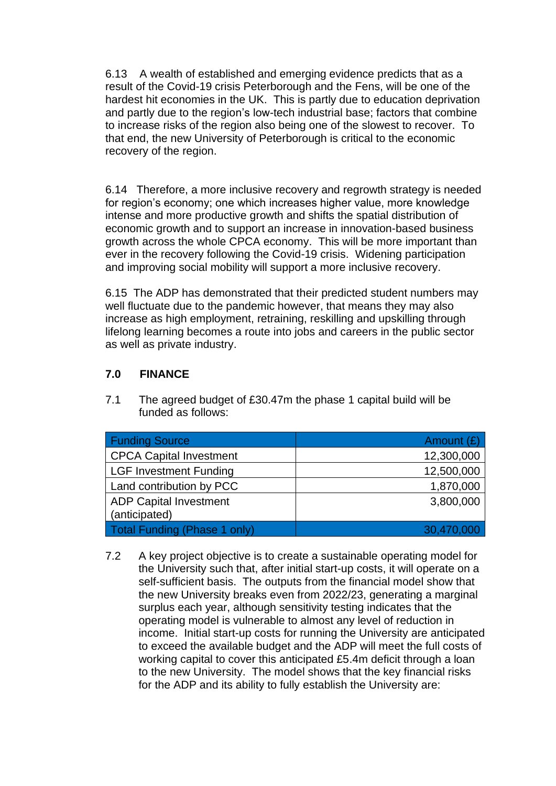6.13 A wealth of established and emerging evidence predicts that as a result of the Covid-19 crisis Peterborough and the Fens, will be one of the hardest hit economies in the UK. This is partly due to education deprivation and partly due to the region's low-tech industrial base; factors that combine to increase risks of the region also being one of the slowest to recover. To that end, the new University of Peterborough is critical to the economic recovery of the region.

6.14 Therefore, a more inclusive recovery and regrowth strategy is needed for region's economy; one which increases higher value, more knowledge intense and more productive growth and shifts the spatial distribution of economic growth and to support an increase in innovation-based business growth across the whole CPCA economy. This will be more important than ever in the recovery following the Covid-19 crisis. Widening participation and improving social mobility will support a more inclusive recovery.

6.15 The ADP has demonstrated that their predicted student numbers may well fluctuate due to the pandemic however, that means they may also increase as high employment, retraining, reskilling and upskilling through lifelong learning becomes a route into jobs and careers in the public sector as well as private industry.

## **7.0 FINANCE**

7.1 The agreed budget of £30.47m the phase 1 capital build will be funded as follows:

| <b>Funding Source</b>          | Amount $(E)$ |
|--------------------------------|--------------|
| <b>CPCA Capital Investment</b> | 12,300,000   |
| <b>LGF Investment Funding</b>  | 12,500,000   |
| Land contribution by PCC       | 1,870,000    |
| <b>ADP Capital Investment</b>  | 3,800,000    |
| (anticipated)                  |              |
| Total Funding (Phase 1 only)   | 30,470,000   |

7.2 A key project objective is to create a sustainable operating model for the University such that, after initial start-up costs, it will operate on a self-sufficient basis. The outputs from the financial model show that the new University breaks even from 2022/23, generating a marginal surplus each year, although sensitivity testing indicates that the operating model is vulnerable to almost any level of reduction in income. Initial start-up costs for running the University are anticipated to exceed the available budget and the ADP will meet the full costs of working capital to cover this anticipated £5.4m deficit through a loan to the new University. The model shows that the key financial risks for the ADP and its ability to fully establish the University are: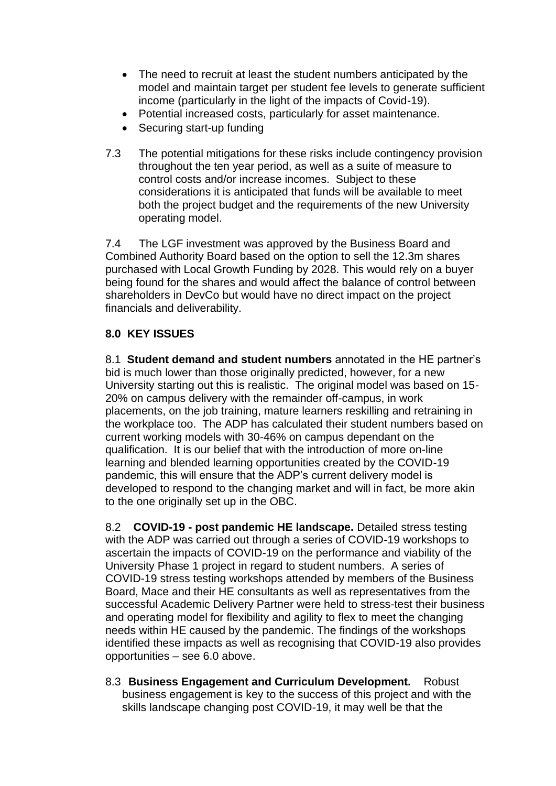- The need to recruit at least the student numbers anticipated by the model and maintain target per student fee levels to generate sufficient income (particularly in the light of the impacts of Covid-19).
- Potential increased costs, particularly for asset maintenance.
- Securing start-up funding
- 7.3 The potential mitigations for these risks include contingency provision throughout the ten year period, as well as a suite of measure to control costs and/or increase incomes. Subject to these considerations it is anticipated that funds will be available to meet both the project budget and the requirements of the new University operating model.

7.4 The LGF investment was approved by the Business Board and Combined Authority Board based on the option to sell the 12.3m shares purchased with Local Growth Funding by 2028. This would rely on a buyer being found for the shares and would affect the balance of control between shareholders in DevCo but would have no direct impact on the project financials and deliverability.

# **8.0 KEY ISSUES**

8.1 **Student demand and student numbers** annotated in the HE partner's bid is much lower than those originally predicted, however, for a new University starting out this is realistic. The original model was based on 15- 20% on campus delivery with the remainder off-campus, in work placements, on the job training, mature learners reskilling and retraining in the workplace too. The ADP has calculated their student numbers based on current working models with 30-46% on campus dependant on the qualification. It is our belief that with the introduction of more on-line learning and blended learning opportunities created by the COVID-19 pandemic, this will ensure that the ADP's current delivery model is developed to respond to the changing market and will in fact, be more akin to the one originally set up in the OBC.

8.2 **COVID-19 - post pandemic HE landscape.** Detailed stress testing with the ADP was carried out through a series of COVID-19 workshops to ascertain the impacts of COVID-19 on the performance and viability of the University Phase 1 project in regard to student numbers. A series of COVID-19 stress testing workshops attended by members of the Business Board, Mace and their HE consultants as well as representatives from the successful Academic Delivery Partner were held to stress-test their business and operating model for flexibility and agility to flex to meet the changing needs within HE caused by the pandemic. The findings of the workshops identified these impacts as well as recognising that COVID-19 also provides opportunities – see 6.0 above.

8.3 **Business Engagement and Curriculum Development.** Robust business engagement is key to the success of this project and with the skills landscape changing post COVID-19, it may well be that the